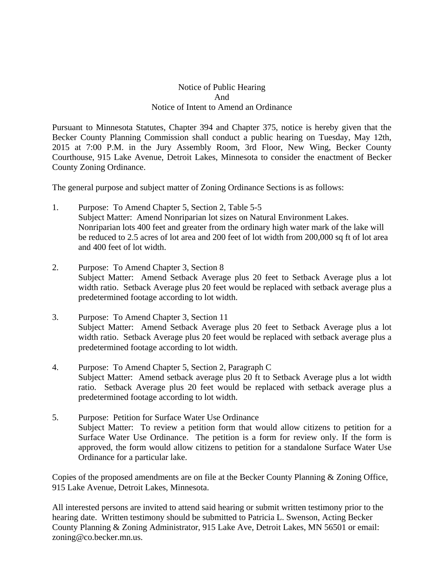## Notice of Public Hearing And Notice of Intent to Amend an Ordinance

Pursuant to Minnesota Statutes, Chapter 394 and Chapter 375, notice is hereby given that the Becker County Planning Commission shall conduct a public hearing on Tuesday, May 12th, 2015 at 7:00 P.M. in the Jury Assembly Room, 3rd Floor, New Wing, Becker County Courthouse, 915 Lake Avenue, Detroit Lakes, Minnesota to consider the enactment of Becker County Zoning Ordinance.

The general purpose and subject matter of Zoning Ordinance Sections is as follows:

- 1. Purpose: To Amend Chapter 5, Section 2, Table 5-5 Subject Matter: Amend Nonriparian lot sizes on Natural Environment Lakes. Nonriparian lots 400 feet and greater from the ordinary high water mark of the lake will be reduced to 2.5 acres of lot area and 200 feet of lot width from 200,000 sq ft of lot area and 400 feet of lot width.
- 2. Purpose: To Amend Chapter 3, Section 8 Subject Matter: Amend Setback Average plus 20 feet to Setback Average plus a lot width ratio. Setback Average plus 20 feet would be replaced with setback average plus a predetermined footage according to lot width.
- 3. Purpose: To Amend Chapter 3, Section 11 Subject Matter: Amend Setback Average plus 20 feet to Setback Average plus a lot width ratio. Setback Average plus 20 feet would be replaced with setback average plus a predetermined footage according to lot width.
- 4. Purpose: To Amend Chapter 5, Section 2, Paragraph C Subject Matter: Amend setback average plus 20 ft to Setback Average plus a lot width ratio. Setback Average plus 20 feet would be replaced with setback average plus a predetermined footage according to lot width.
- 5. Purpose: Petition for Surface Water Use Ordinance Subject Matter: To review a petition form that would allow citizens to petition for a Surface Water Use Ordinance. The petition is a form for review only. If the form is approved, the form would allow citizens to petition for a standalone Surface Water Use Ordinance for a particular lake.

Copies of the proposed amendments are on file at the Becker County Planning & Zoning Office, 915 Lake Avenue, Detroit Lakes, Minnesota.

All interested persons are invited to attend said hearing or submit written testimony prior to the hearing date. Written testimony should be submitted to Patricia L. Swenson, Acting Becker County Planning & Zoning Administrator, 915 Lake Ave, Detroit Lakes, MN 56501 or email: zoning@co.becker.mn.us.